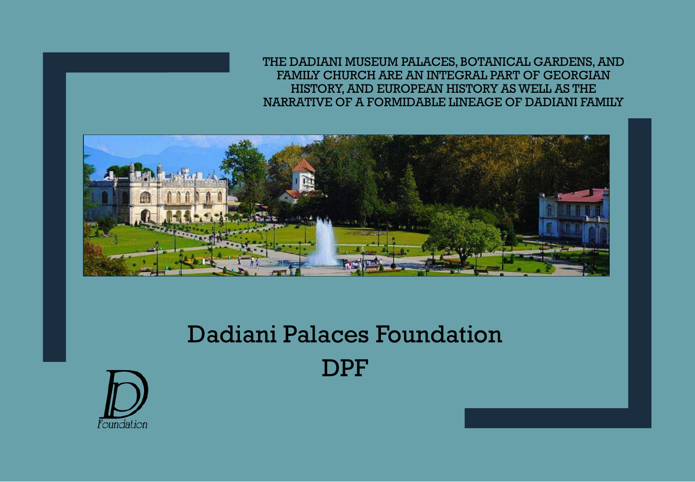THE DADIANI MUSEUM PALACES, BOTANICAL GARDENS, AND FAMILY CHURCH ARE AN INTEGRAL PART OF GEORGIAN HISTORY, AND EUROPEAN HISTORY AS WELL AS THE NARRATIVE OF A FORMIDABLE LINEAGE OF DADIANI FAMILY



# Dadiani Palaces Foundation DPF

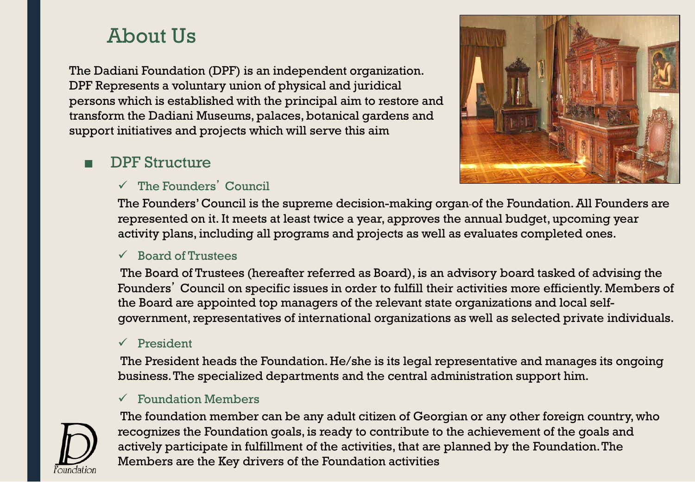### About Us

The Dadiani Foundation (DPF) is an independent organization. DPF Represents a voluntary union of physical and juridical persons which is established with the principal aim to restore and transform the Dadiani Museums, palaces, botanical gardens and support initiatives and projects which will serve this aim

#### DPF Structure

#### ✓ The Founders' Council

The Founders' Council is the supreme decision-making organ of the Foundation. All Founders are represented on it. It meets at least twice a year, approves the annual budget, upcoming year activity plans, including all programs and projects as well as evaluates completed ones.

#### ✓ Board of Trustees

The Board of Trustees (hereafter referred as Board), is an advisory board tasked of advising the Founders' Council on specific issues in order to fulfill their activities more efficiently. Members of the Board are appointed top managers of the relevant state organizations and local selfgovernment, representatives of international organizations as well as selected private individuals.

#### ✓ President

The President heads the Foundation. He/she is its legal representative and manages its ongoing business. The specialized departments and the central administration support him.

#### $\checkmark$  Foundation Members



The foundation member can be any adult citizen of Georgian or any other foreign country, who recognizes the Foundation goals, is ready to contribute to the achievement of the goals and actively participate in fulfillment of the activities, that are planned by the Foundation. The Members are the Key drivers of the Foundation activities

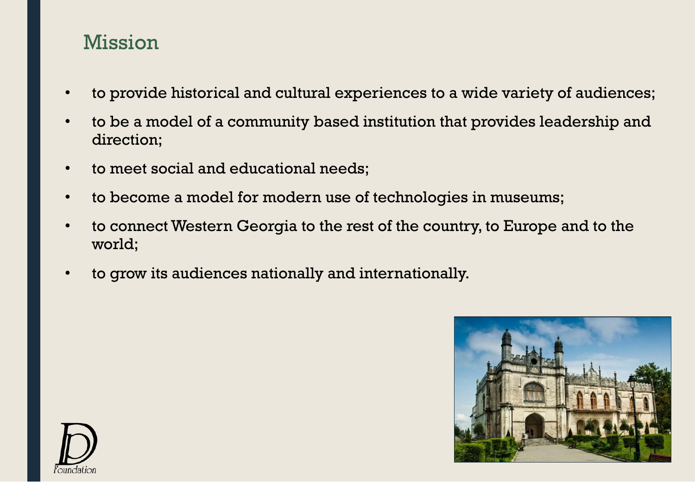### Mission

- to provide historical and cultural experiences to a wide variety of audiences;
- to be a model of a community based institution that provides leadership and direction;
- to meet social and educational needs;
- to become a model for modern use of technologies in museums;
- to connect Western Georgia to the rest of the country, to Europe and to the world;
- to grow its audiences nationally and internationally.



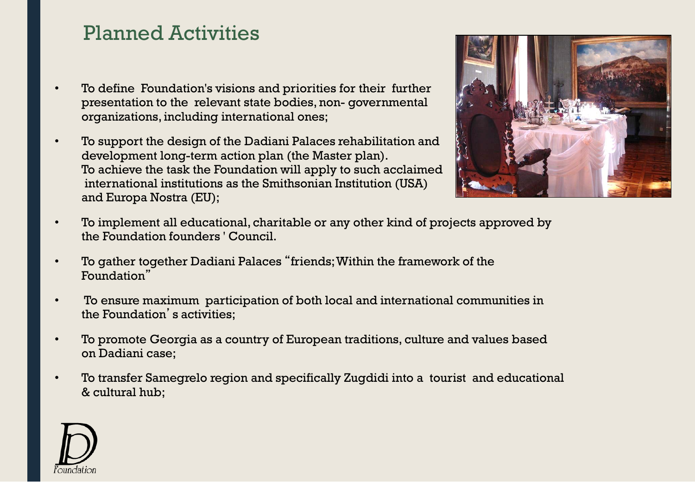### Planned Activities

- To define Foundation's visions and priorities for their further presentation to the relevant state bodies, non- governmental organizations, including international ones;
- To support the design of the Dadiani Palaces rehabilitation and development long-term action plan (the Master plan). To achieve the task the Foundation will apply to such acclaimed international institutions as the Smithsonian Institution (USA) and Europa Nostra (EU);



- To implement all educational, charitable or any other kind of projects approved by the Foundation founders ' Council.
- To gather together Dadiani Palaces "friends; Within the framework of the Foundation"
- To ensure maximum participation of both local and international communities in the Foundation's activities;
- To promote Georgia as a country of European traditions, culture and values based on Dadiani case;
- To transfer Samegrelo region and specifically Zugdidi into a tourist and educational & cultural hub;

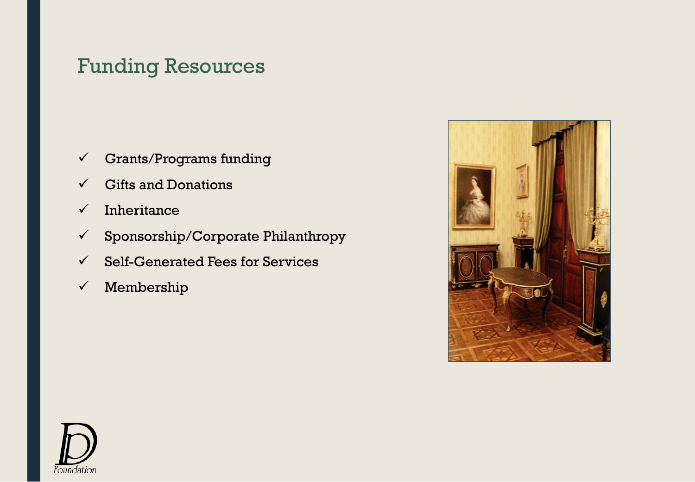### Funding Resources

- ✓ Grants/Programs funding
- $\checkmark$  Gifts and Donations
- $\checkmark$  Inheritance
- $\checkmark$  Sponsorship/Corporate Philanthropy
- $\checkmark$  Self-Generated Fees for Services
- ✓ Membership



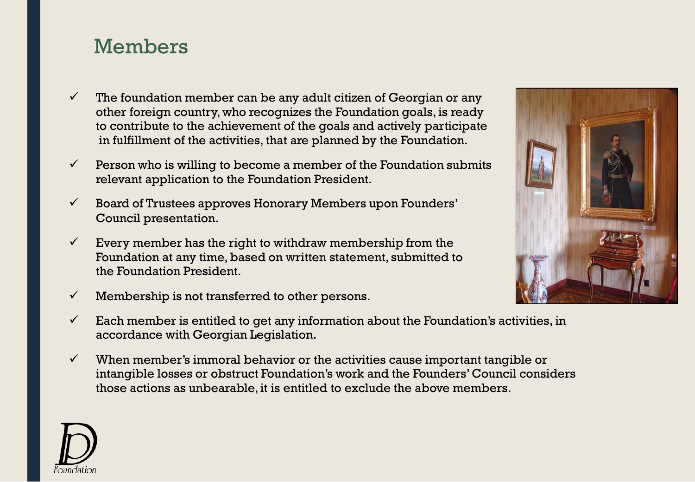### Members

- $\checkmark$  The foundation member can be any adult citizen of Georgian or any other foreign country, who recognizes the Foundation goals, is ready to contribute to the achievement of the goals and actively participate in fulfillment of the activities, that are planned by the Foundation.
- $\checkmark$  Person who is willing to become a member of the Foundation submits relevant application to the Foundation President.
- $\checkmark$  Board of Trustees approves Honorary Members upon Founders' Council presentation.
- $\checkmark$  Every member has the right to withdraw membership from the Foundation at any time, based on written statement, submitted to the Foundation President.
- $\checkmark$  Membership is not transferred to other persons.
- $\checkmark$  Each member is entitled to get any information about the Foundation's activities, in accordance with Georgian Legislation.
- $\checkmark$  When member's immoral behavior or the activities cause important tangible or intangible losses or obstruct Foundation's work and the Founders'Council considers those actions as unbearable, it is entitled to exclude the above members.



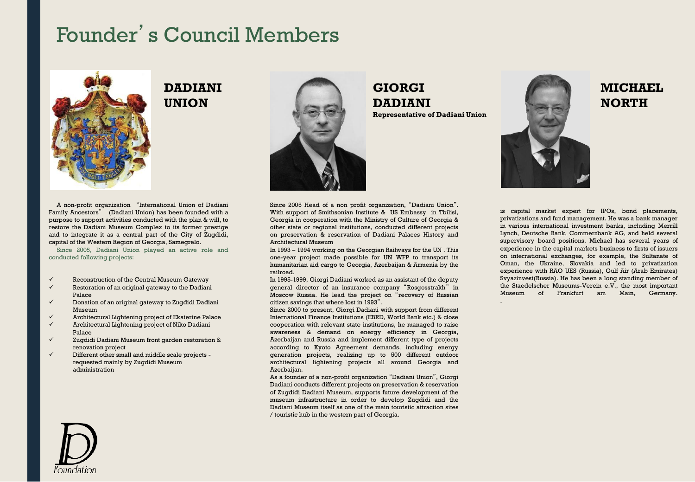### Founder's Council Members



**DADIANI UNION** 

A non-profit organization "International Union of Dadiani Family Ancestors" (Dadiani Union) has been founded with a purpose to support activities conducted with the plan & will, to restore the Dadiani Museum Complex to its former prestige and to integrate it as a central part of the City of Zugdidi, capital of the Western Region of Georgia, Samegrelo.

Since 2005, Dadiani Union played an active role and conducted following projects:

- ✓ Reconstruction of the Central Museum Gateway
- $\checkmark$  Restoration of an original gateway to the Dadiani Palace
- ✓ Donation of an original gateway to Zugdidi Dadiani Museum
- ✓ Architectural Lightening project of Ekaterine Palace
- ✓ Architectural Lightening project of Niko Dadiani Palace
- ✓ Zugdidi Dadiani Museum front garden restoration & renovation project
- $\checkmark$  Different other small and middle scale projects requested mainly by Zugdidi Museum administration





**GIORGI DADIANI Representative of Dadiani Union**



.

**MICHAEL NORTH**

is capital market expert for IPOs, bond placements, privatizations and fund management. He was a bank manager in various international investment banks, including Merrill Lynch, Deutsche Bank, Commerzbank AG, and held several supervisory board positions. Michael has several years of experience in the capital markets business to firsts of issuers on international exchanges, for example, the Sultanate of Oman, the Ukraine, Slovakia and led to privatization experience with RAO UES (Russia), Gulf Air (Arab Emirates) Svyazinvest(Russia). He has been a long standing member of the Staedelscher Museums-Verein e.V., the most important Museum of Frankfurt am Main, Germany.

Since 2005 Head of a non profit organization, "Dadiani Union". With support of Smithsonian Institute & US Embassy in Tbilisi, Georgia in cooperation with the Ministry of Culture of Georgia & other state or regional institutions, conducted different projects on preservation & reservation of Dadiani Palaces History and Architectural Museum

In 1993 – 1994 working on the Georgian Railways for the UN . This one-year project made possible for UN WFP to transport its humanitarian aid cargo to Georgia, Azerbaijan & Armenia by the railroad.

In 1995-1999, Giorgi Dadiani worked as an assistant of the deputy general director of an insurance company "Rosgosstrakh" in Moscow Russia. He lead the project on "recovery of Russian citizen savings that where lost in 1993".

Since 2000 to present, Giorgi Dadiani with support from different International Finance Institutions (EBRD, World Bank etc.) & close cooperation with relevant state institutions, he managed to raise awareness & demand on energy efficiency in Georgia, Azerbaijan and Russia and implement different type of projects according to Kyoto Agreement demands, including energy generation projects, realizing up to 500 different outdoor architectural lightening projects all around Georgia and Azerbaijan.

As a founder of a non-profit organization "Dadiani Union", Giorgi Dadiani conducts different projects on preservation & reservation of Zugdidi Dadiani Museum, supports future development of the museum infrastructure in order to develop Zugdidi and the Dadiani Museum itself as one of the main touristic attraction sites / touristic hub in the western part of Georgia.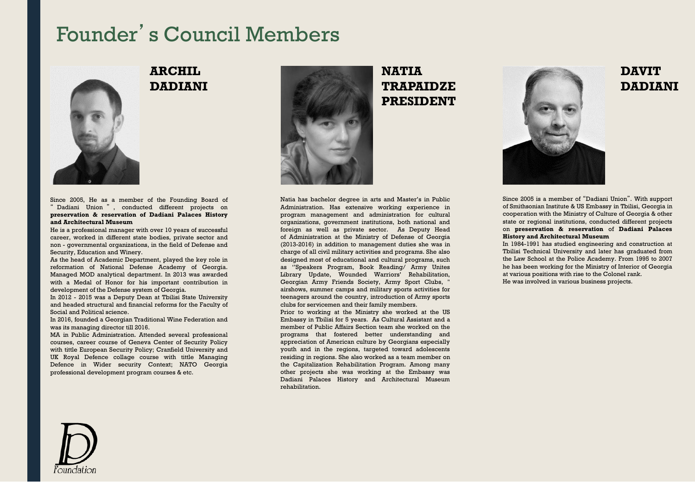### Founder's Council Members



**ARCHIL DADIANI**



He is a professional manager with over 10 years of successful career, worked in different state bodies, private sector and non - governmental organizations, in the field of Defense and Security, Education and Winery.

As the head of Academic Department, played the key role in reformation of National Defense Academy of Georgia. Managed MOD analytical department. In 2013 was awarded with a Medal of Honor for his important contribution in development of the Defense system of Georgia.

In 2012 - 2015 was a Deputy Dean at Tbilisi State University and headed structural and financial reforms for the Faculty of Social and Political science.

In 2016, founded a Georgian Traditional Wine Federation and was its managing director till 2016.

MA in Public Administration. Attended several professional courses, career course of Geneva Center of Security Policy with tittle European Security Policy; Cranfield University and UK Royal Defence collage course with tittle Managing Defence in Wider security Context; NATO Georgia professional development program courses & etc.



#### **NATIA TRAPAIDZE PRESIDENT**



**DAVIT DADIANI** 

Natia has bachelor degree in arts and Master's in Public Administration. Has extensive working experience in program management and administration for cultural organizations, government institutions, both national and foreign as well as private sector. As Deputy Head of Administration at the Ministry of Defense of Georgia (2013-2016) in addition to management duties she was in charge of all civil military activities and programs. She also designed most of educational and cultural programs, such as ''Speakers Program, Book Reading/ Army Unites Library Update, Wounded Warriors' Rehabilitation, Georgian Army Friends Society, Army Sport Clubs, " airshows, summer camps and military sports activities for teenagers around the country, introduction of Army sports clubs for servicemen and their family members.

Prior to working at the Ministry she worked at the US Embassy in Tbilisi for 5 years. As Cultural Assistant and a member of Public Affairs Section team she worked on the programs that fostered better understanding and appreciation of American culture by Georgians especially youth and in the regions, targeted toward adolescents residing in regions. She also worked as a team member on the Capitalization Rehabilitation Program. Among many other projects she was working at the Embassy was Dadiani Palaces History and Architectural Museum rehabilitation.

Since 2005 is a member of "Dadiani Union". With support of Smithsonian Institute & US Embassy in Tbilisi, Georgia in cooperation with the Ministry of Culture of Georgia & other state or regional institutions, conducted different projects on **preservation & reservation** of **Dadiani Palaces History and Architectural Museum**

In 1984-1991 has studied engineering and construction at Tbilisi Technical University and later has graduated from the Law School at the Police Academy. From 1995 to 2007 he has been working for the Ministry of Interior of Georgia at various positions with rise to the Colonel rank. He was involved in various business projects.

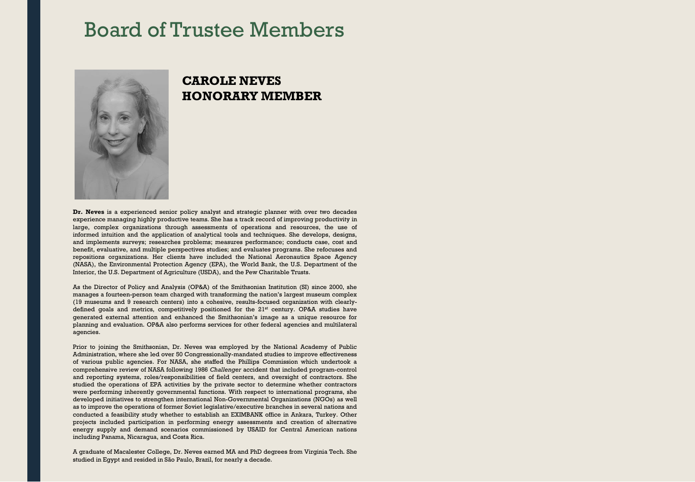#### Board of Trustee Members



#### **CAROLE NEVES HONORARY MEMBER**

**Dr. Neves** is a experienced senior policy analyst and strategic planner with over two decades experience managing highly productive teams. She has a track record of improving productivity in large, complex organizations through assessments of operations and resources, the use of informed intuition and the application of analytical tools and techniques. She develops, designs, and implements surveys; researches problems; measures performance; conducts case, cost and benefit, evaluative, and multiple perspectives studies; and evaluates programs. She refocuses and repositions organizations. Her clients have included the National Aeronautics Space Agency (NASA), the Environmental Protection Agency (EPA), the World Bank, the U.S. Department of the Interior, the U.S. Department of Agriculture (USDA), and the Pew Charitable Trusts.

As the Director of Policy and Analysis (OP&A) of the Smithsonian Institution (SI) since 2000, she manages a fourteen-person team charged with transforming the nation's largest museum complex (19 museums and 9 research centers) into a cohesive, results-focused organization with clearlydefined goals and metrics, competitively positioned for the  $21<sup>st</sup>$  century. OP&A studies have generated external attention and enhanced the Smithsonian's image as a unique resource for planning and evaluation. OP&A also performs services for other federal agencies and multilateral agencies.

Prior to joining the Smithsonian, Dr. Neves was employed by the National Academy of Public Administration, where she led over 50 Congressionally-mandated studies to improve effectiveness of various public agencies. For NASA, she staffed the Phillips Commission which undertook a comprehensive review of NASA following 1986 *Challenger* accident that included program-control and reporting systems, roles/responsibilities of field centers, and oversight of contractors. She studied the operations of EPA activities by the private sector to determine whether contractors were performing inherently governmental functions. With respect to international programs, she developed initiatives to strengthen international Non-Governmental Organizations (NGOs) as well as to improve the operations of former Soviet legislative/executive branches in several nations and conducted a feasibility study whether to establish an EXIMBANK office in Ankara, Turkey. Other projects included participation in performing energy assessments and creation of alternative energy supply and demand scenarios commissioned by USAID for Central American nations including Panama, Nicaragua, and Costa Rica.

A graduate of Macalester College, Dr. Neves earned MA and PhD degrees from Virginia Tech. She studied in Egypt and resided in São Paulo, Brazil, for nearly a decade.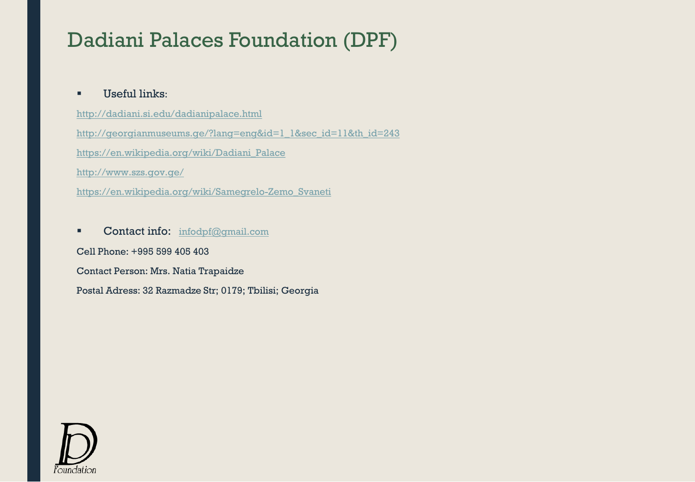### Dadiani Palaces Foundation (DPF)

#### ▪ Useful links:

<http://dadiani.si.edu/dadianipalace.html> [http://georgianmuseums.ge/?lang=eng&id=1\\_1&sec\\_id=11&th\\_id=243](http://georgianmuseums.ge/?lang=eng&id=1_1&sec_id=11&th_id=243) [https://en.wikipedia.org/wiki/Dadiani\\_Palace](https://en.wikipedia.org/wiki/Dadiani_Palace) <http://www.szs.gov.ge/> [https://en.wikipedia.org/wiki/Samegrelo-Zemo\\_Svaneti](https://en.wikipedia.org/wiki/Samegrelo-Zemo_Svaneti)

■ Contact info: [infodpf@gmail.com](mailto:infodpf@gmail.com)

Cell Phone: +995 599 405 403

Contact Person: Mrs. Natia Trapaidze

Postal Adress: 32 Razmadze Str; 0179; Tbilisi; Georgia